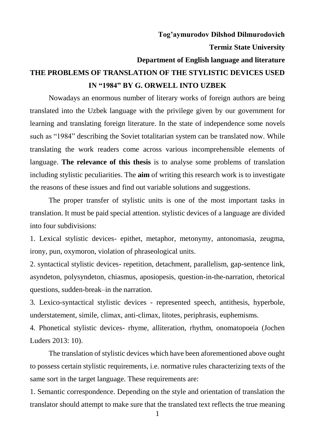**Tog'aymurodov Dilshod Dilmurodovich Termiz State University Department of English language and literature THE PROBLEMS OF TRANSLATION OF THE STYLISTIC DEVICES USED IN "1984" BY G. ORWELL INTO UZBEK**

Nowadays an enormous number of literary works of foreign authors are being translated into the Uzbek language with the privilege given by our government for learning and translating foreign literature. In the state of independence some novels such as "1984" describing the Soviet totalitarian system can be translated now. While translating the work readers come across various incomprehensible elements of language. **The relevance of this thesis** is to analyse some problems of translation including stylistic peculiarities. The **aim** of writing this research work is to investigate the reasons of these issues and find out variable solutions and suggestions.

The proper transfer of stylistic units is one of the most important tasks in translation. It must be paid special attention. stylistic devices of a language are divided into four subdivisions:

1. Lexical stylistic devices- epithet, metaphor, metonymy, antonomasia, zeugma, irony, pun, oxymoron, violation of phraseological units.

2. syntactical stylistic devices- repetition, detachment, parallelism, gap-sentence link, asyndeton, polysyndeton, chiasmus, aposiopesis, question-in-the-narration, rhetorical questions, sudden-break–in the narration.

3. Lexico-syntactical stylistic devices - represented speech, antithesis, hyperbole, understatement, simile, climax, anti-climax, litotes, periphrasis, euphemisms.

4. Phonetical stylistic devices- rhyme, alliteration, rhythm, onomatopoeia (Jochen Luders 2013: 10).

The translation of stylistic devices which have been aforementioned above ought to possess certain stylistic requirements, i.e. normative rules characterizing texts of the same sort in the target language. These requirements are:

1. Semantic correspondence. Depending on the style and orientation of translation the translator should attempt to make sure that the translated text reflects the true meaning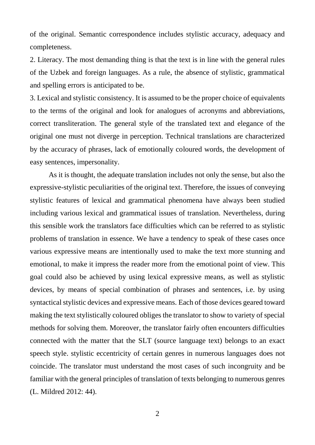of the original. Semantic correspondence includes stylistic accuracy, adequacy and completeness.

2. Literacy. The most demanding thing is that the text is in line with the general rules of the Uzbek and foreign languages. As a rule, the absence of stylistic, grammatical and spelling errors is anticipated to be.

3. Lexical and stylistic consistency. It is assumed to be the proper choice of equivalents to the terms of the original and look for analogues of acronyms and abbreviations, correct transliteration. The general style of the translated text and elegance of the original one must not diverge in perception. Technical translations are characterized by the accuracy of phrases, lack of emotionally coloured words, the development of easy sentences, impersonality.

As it is thought, the adequate translation includes not only the sense, but also the expressive-stylistic peculiarities of the original text. Therefore, the issues of conveying stylistic features of lexical and grammatical phenomena have always been studied including various lexical and grammatical issues of translation. Nevertheless, during this sensible work the translators face difficulties which can be referred to as stylistic problems of translation in essence. We have a tendency to speak of these cases once various expressive means are intentionally used to make the text more stunning and emotional, to make it impress the reader more from the emotional point of view. This goal could also be achieved by using lexical expressive means, as well as stylistic devices, by means of special combination of phrases and sentences, i.e. by using syntactical stylistic devices and expressive means. Each of those devices geared toward making the text stylistically coloured obliges the translator to show to variety of special methods for solving them. Moreover, the translator fairly often encounters difficulties connected with the matter that the SLT (source language text) belongs to an exact speech style. stylistic eccentricity of certain genres in numerous languages does not coincide. The translator must understand the most cases of such incongruity and be familiar with the general principles of translation of texts belonging to numerous genres (L. Mildred 2012: 44).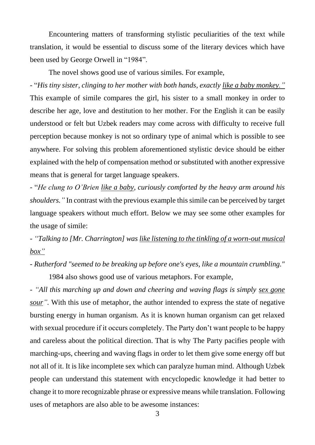Encountering matters of transforming stylistic peculiarities of the text while translation, it would be essential to discuss some of the literary devices which have been used by George Orwell in "1984".

The novel shows good use of various similes. For example,

- "*His tiny sister, clinging to her mother with both hands, exactly like a baby monkey."* This example of simile compares the girl, his sister to a small monkey in order to describe her age, love and destitution to her mother. For the English it can be easily understood or felt but Uzbek readers may come across with difficulty to receive full perception because monkey is not so ordinary type of animal which is possible to see anywhere. For solving this problem aforementioned stylistic device should be either explained with the help of compensation method or substituted with another expressive means that is general for target language speakers.

- "*He clung to O'Brien like a baby, curiously comforted by the heavy arm around his shoulders."* In contrast with the previous example this simile can be perceived by target language speakers without much effort. Below we may see some other examples for the usage of simile:

- *"Talking to [Mr. Charrington] was like listening to the tinkling of a worn-out musical box"*

- *Rutherford "seemed to be breaking up before one's eyes, like a mountain crumbling."*

1984 also shows good use of various metaphors. For example,

*- "All this marching up and down and cheering and waving flags is simply sex gone sour*". With this use of metaphor, the author intended to express the state of negative bursting energy in human organism. As it is known human organism can get relaxed with sexual procedure if it occurs completely. The Party don't want people to be happy and careless about the political direction. That is why The Party pacifies people with marching-ups, cheering and waving flags in order to let them give some energy off but not all of it. It is like incomplete sex which can paralyze human mind. Although Uzbek people can understand this statement with encyclopedic knowledge it had better to change it to more recognizable phrase or expressive means while translation. Following uses of metaphors are also able to be awesome instances: